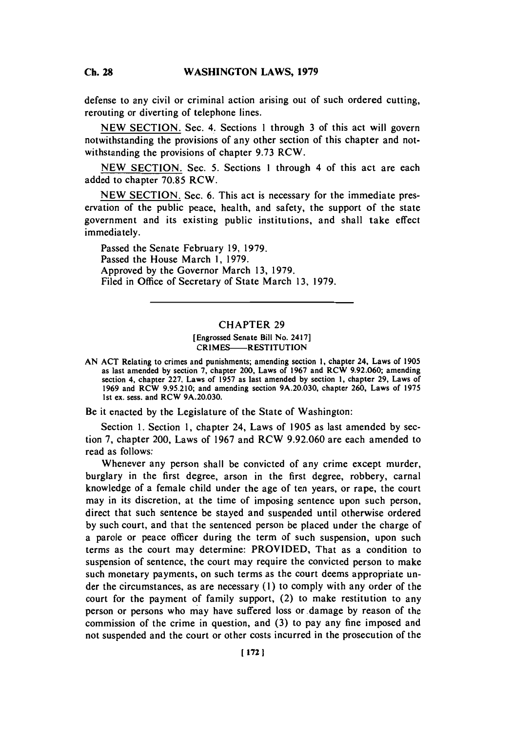defense to any civil or criminal action arising out of such ordered cutting, rerouting or diverting of telephone lines.

**NEW SECTION.** Sec. 4. Sections 1 through **3** of this act will govern notwithstanding the provisions of any other section of this chapter and notwithstanding the provisions of chapter **9.73** RCW.

**NEW SECTION.** Sec. **5.** Sections **I** through 4 of this act are each added to chapter **70.85** RCW.

**NEW SECTION.** Sec. **6.** This act is necessary for the immediate preservation of the public peace, health, and safety, the support of the state government and its existing public institutions, and shall take effect immediately.

Passed the Senate February **19, 1979.** Passed the House March **1, 1979.** Approved **by** the Governor March **13, 1979.** Filed in Office of Secretary of State March **13, 1979.**

## CHAPTER **29**

## [Engrossed Senate Bill No. 2417] CRIMES-RESTITUTION

**AN ACT** Relating to crimes and punishments; amending section **1,** chapter 24, Laws of **1905** as last amended **by** section **7,** chapter 200, Laws of **1967** and **RCW 9.92.060;** amending section 4, chapter **227,** Laws of **1957** as last amended **by** section **1,** chapter **29,** Laws of **1969** and RCW **9.95.210;** and amending section **9A.20.030,** chapter **260,** Laws of **1975** 1st ex. sess. and **RCW 9A.20.030.**

Be it enacted **by** the Legislature of the State of Washington:

Section **1.** Section **1,** chapter 24, Laws of **1905** as last amended **by** section **7,** chapter 200, Laws of **1967** and RCW **9.92.060** are each amended to read as follows:

Whenever any person shall be convicted of any crime except murder, burglary in the first degree, arson in the first degree, robbery, carnal knowledge of a female child under the age of ten years, or rape, the court may in its discretion, at the time of imposing sentence upon such person, direct that such sentence be stayed and suspended until otherwise ordered **by** such court, and that the sentenced person be placed under the charge of a parole or peace officer during the term of such suspension, upon such terms as the court may determine: PROVIDED, That as a condition to suspension of sentence, the court may require the convicted person to make such monetary payments, on such terms as the court deems appropriate under the circumstances, as are necessary **(1)** to comply with any order of the court for the payment of family support, (2) to make restitution to any person or persons who may have suffered loss or damage **by** reason of the commission of the crime in question, and **(3)** to pay any fine imposed and not suspended and the court or other costs incurred in the prosecution of the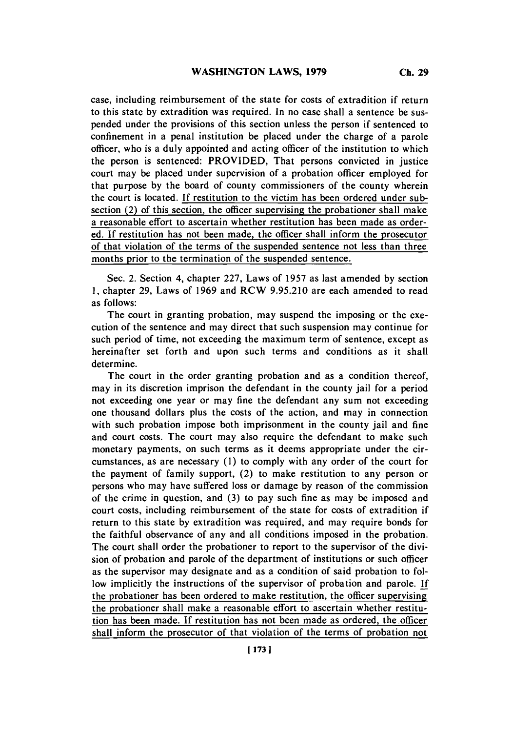case, including reimbursement of the state for costs of extradition if return to this state **by** extradition was required. In no case shall a sentence be suspended under the provisions of this section unless the person if sentenced to confinement in a penal institution be placed under the charge of a parole officer, who is a duly appointed and acting officer of the institution to which the person is sentenced: PROVIDED, That persons convicted in justice court may be placed under supervision of a probation officer employed for that purpose **by** the board of county commissioners of the county wherein the court is located. **If** restitution to the victim has been ordered under subsection (2) of this section, the officer supervising the probationer shall make a reasonable effort to ascertain whether restitution has been made as ordered. **If** restitution has not been made, the officer shall inform the prosecutor of that violation of the terms of the suspended sentence not less than three months prior to the termination of the suspended sentence.

Sec. 2. Section 4, chapter **227,** Laws of **1957** as last amended **by** section **1,** chapter **29,** Laws of **1969** and RCW **9.95.210** are each amended to read as follows:

The court in granting probation, may suspend the imposing or the execution of the sentence and may direct that such suspension may continue for such period of time, not exceeding the maximum term of sentence, except as hereinafter set forth and upon such terms and conditions as it shall determine.

The court in the order granting probation and as a condition thereof, may in its discretion imprison the defendant in the county jail for a period not exceeding one year or may fine the defendant any sum not exceeding one thousand dollars plus the costs of the action, and may in connection with such probation impose both imprisonment in the county jail and fine and court costs. The court may also require the defendant to make such monetary payments, on such terms as it deems appropriate under the circumstances, as are necessary **(1)** to comply with any order of the court for the payment of family support, (2) to make restitution to any person or persons who may have suffered loss or damage **by** reason of the commission of the crime in question, and **(3)** to pay such fine as may be imposed and court costs, including reimbursement of the state for costs of extradition if return to this state **by** extradition was required, and may require bonds for the faithful observance of any and all conditions imposed in the probation. The court shall order the probationer to report to the supervisor of the division of probation and parole of the department of institutions or such officer as the supervisor may designate and as a condition of said probation to follow implicitly the instructions of the supervisor of probation and parole. **If** the probationer has been ordered to make restitution, the officer supervising the probationer shall make a reasonable effort to ascertain whether restitu- tion has been made. **If** restitution has not been made as ordered, the officer shall inform the prosecutor of that violation of the terms of probation not